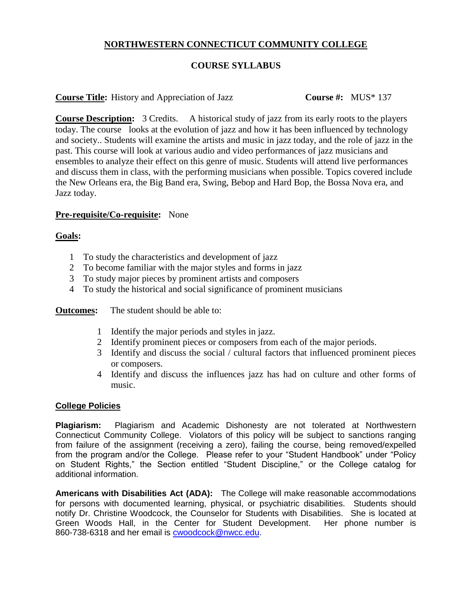# **NORTHWESTERN CONNECTICUT COMMUNITY COLLEGE**

# **COURSE SYLLABUS**

## **Course Title:** History and Appreciation of Jazz **Course #:** MUS\* 137

**Course Description:** 3 Credits. A historical study of jazz from its early roots to the players today. The course looks at the evolution of jazz and how it has been influenced by technology and society.. Students will examine the artists and music in jazz today, and the role of jazz in the past. This course will look at various audio and video performances of jazz musicians and ensembles to analyze their effect on this genre of music. Students will attend live performances and discuss them in class, with the performing musicians when possible. Topics covered include the New Orleans era, the Big Band era, Swing, Bebop and Hard Bop, the Bossa Nova era, and Jazz today.

## **Pre-requisite/Co-requisite:** None

### **Goals:**

- 1 To study the characteristics and development of jazz
- 2 To become familiar with the major styles and forms in jazz
- 3 To study major pieces by prominent artists and composers
- 4 To study the historical and social significance of prominent musicians

**Outcomes:** The student should be able to:

- 1 Identify the major periods and styles in jazz.
- 2 Identify prominent pieces or composers from each of the major periods.
- 3 Identify and discuss the social / cultural factors that influenced prominent pieces or composers.
- 4 Identify and discuss the influences jazz has had on culture and other forms of music.

### **College Policies**

**Plagiarism:** Plagiarism and Academic Dishonesty are not tolerated at Northwestern Connecticut Community College. Violators of this policy will be subject to sanctions ranging from failure of the assignment (receiving a zero), failing the course, being removed/expelled from the program and/or the College. Please refer to your "Student Handbook" under "Policy on Student Rights," the Section entitled "Student Discipline," or the College catalog for additional information.

**Americans with Disabilities Act (ADA):** The College will make reasonable accommodations for persons with documented learning, physical, or psychiatric disabilities. Students should notify Dr. Christine Woodcock, the Counselor for Students with Disabilities. She is located at Green Woods Hall, in the Center for Student Development. Her phone number is 860-738-6318 and her email is [cwoodcock@nwcc.edu.](mailto:cwoodcock@nwcc.edu)